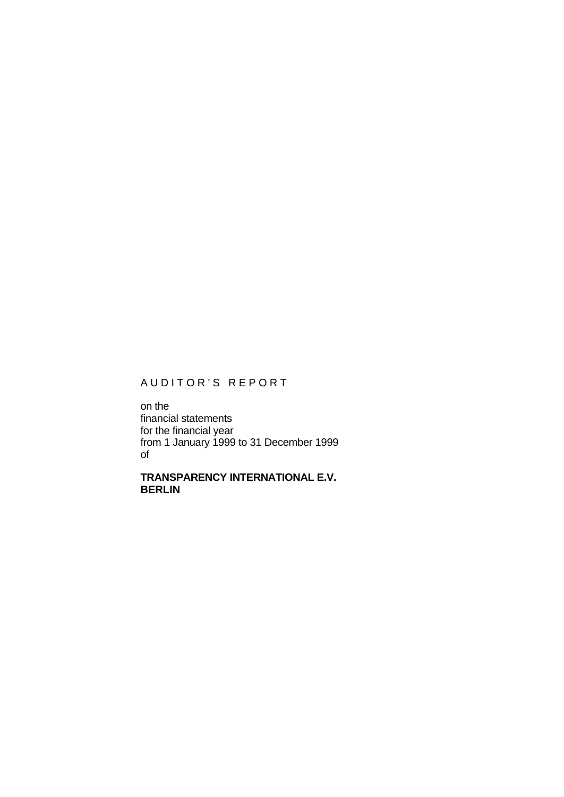# AUDITOR'S REPORT

on the financial statements for the financial year from 1 January 1999 to 31 December 1999 of

**TRANSPARENCY INTERNATIONAL E.V. BERLIN**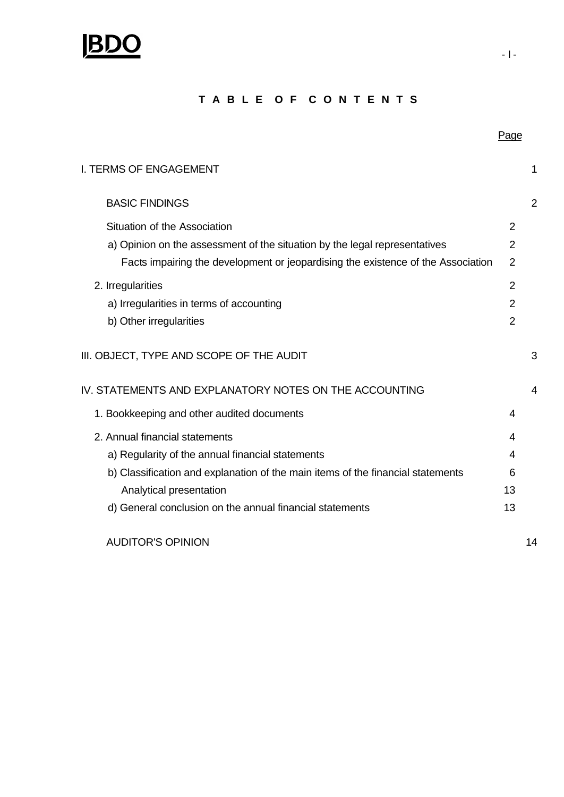

## **T A B L E O F C O N T E N T S**

| <b>I. TERMS OF ENGAGEMENT</b>                                                    |                |   |
|----------------------------------------------------------------------------------|----------------|---|
| <b>BASIC FINDINGS</b>                                                            |                | 2 |
| Situation of the Association                                                     | 2              |   |
| a) Opinion on the assessment of the situation by the legal representatives       | 2              |   |
| Facts impairing the development or jeopardising the existence of the Association | $\overline{2}$ |   |
| 2. Irregularities                                                                | $\overline{2}$ |   |
| a) Irregularities in terms of accounting                                         | $\overline{2}$ |   |
| b) Other irregularities                                                          | 2              |   |
| III. OBJECT, TYPE AND SCOPE OF THE AUDIT                                         |                | 3 |
| IV STATEMENTS AND EXPLANATORY NOTES ON THE ACCOLINTING                           |                | 4 |

| Facts impairing the development or jeopardising the existence of the Association | $\overline{2}$ |    |
|----------------------------------------------------------------------------------|----------------|----|
| 2. Irregularities                                                                | $\overline{2}$ |    |
| a) Irregularities in terms of accounting                                         | 2              |    |
| b) Other irregularities                                                          | $\overline{2}$ |    |
| III. OBJECT, TYPE AND SCOPE OF THE AUDIT                                         |                | 3  |
| IV. STATEMENTS AND EXPLANATORY NOTES ON THE ACCOUNTING                           |                | 4  |
| 1. Bookkeeping and other audited documents                                       | 4              |    |
| 2. Annual financial statements                                                   | 4              |    |
| a) Regularity of the annual financial statements                                 | 4              |    |
| b) Classification and explanation of the main items of the financial statements  | 6              |    |
| Analytical presentation                                                          | 13             |    |
| d) General conclusion on the annual financial statements                         | 13             |    |
| <b>AUDITOR'S OPINION</b>                                                         |                | 14 |

Page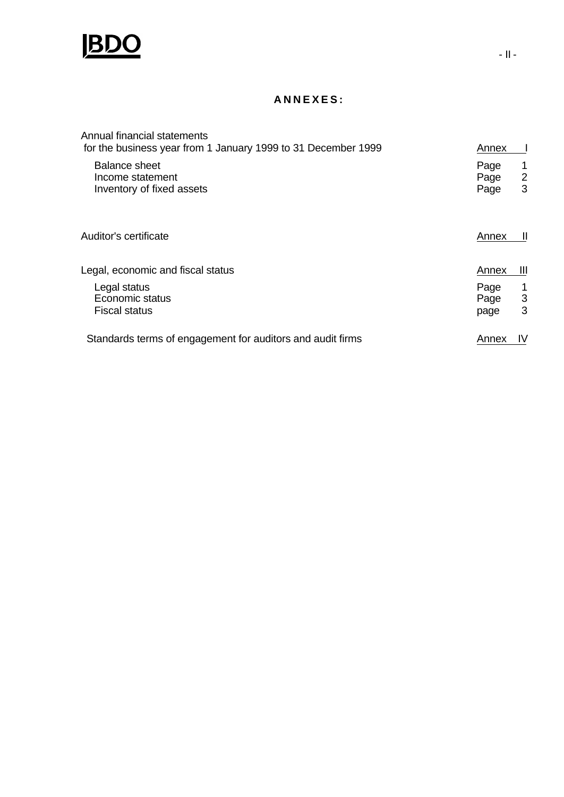

## **ANNEXES:**

| Annual financial statements<br>for the business year from 1 January 1999 to 31 December 1999 | Annex                                       |
|----------------------------------------------------------------------------------------------|---------------------------------------------|
| Balance sheet<br>Income statement<br>Inventory of fixed assets                               | Page<br>$\overline{2}$<br>Page<br>3<br>Page |
| Auditor's certificate                                                                        | Annex<br>Ш                                  |
| Legal, economic and fiscal status                                                            | $\mathbf{III}$<br>Annex                     |
| Legal status<br>Economic status<br><b>Fiscal status</b>                                      | Page<br>3<br>Page<br>3<br>page              |
| Standards terms of engagement for auditors and audit firms                                   | IV<br>Annex                                 |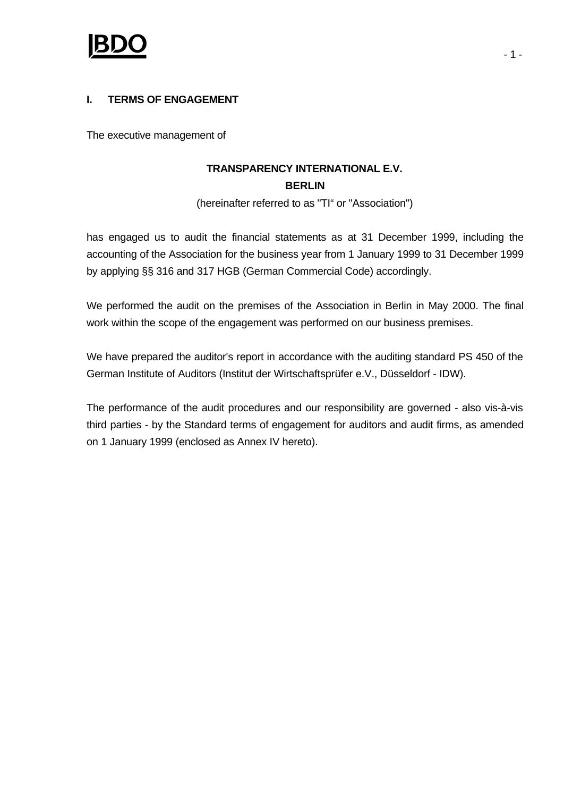

## **I. TERMS OF ENGAGEMENT**

The executive management of

# **TRANSPARENCY INTERNATIONAL E.V. BERLIN**

(hereinafter referred to as "TI" or "Association")

has engaged us to audit the financial statements as at 31 December 1999, including the accounting of the Association for the business year from 1 January 1999 to 31 December 1999 by applying §§ 316 and 317 HGB (German Commercial Code) accordingly.

We performed the audit on the premises of the Association in Berlin in May 2000. The final work within the scope of the engagement was performed on our business premises.

We have prepared the auditor's report in accordance with the auditing standard PS 450 of the German Institute of Auditors (Institut der Wirtschaftsprüfer e.V., Düsseldorf - IDW).

The performance of the audit procedures and our responsibility are governed - also vis-à-vis third parties - by the Standard terms of engagement for auditors and audit firms, as amended on 1 January 1999 (enclosed as Annex IV hereto).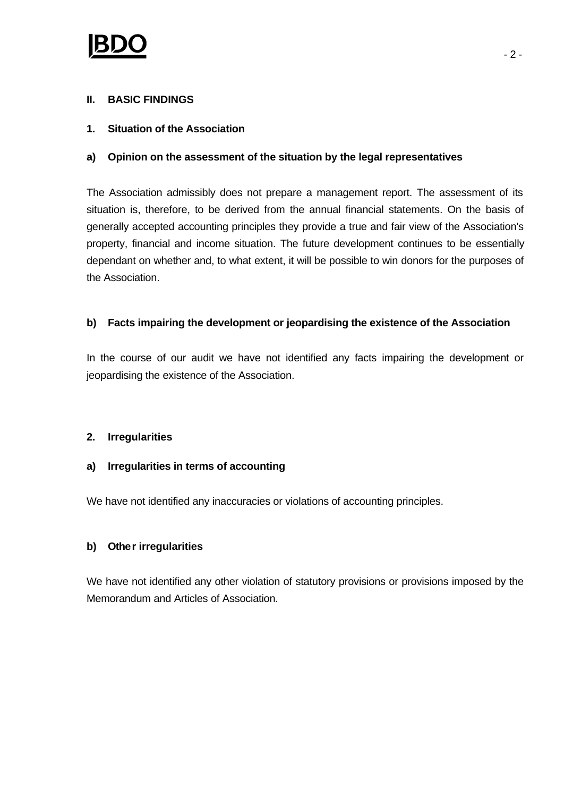## **II. BASIC FINDINGS**

## **1. Situation of the Association**

## **a) Opinion on the assessment of the situation by the legal representatives**

The Association admissibly does not prepare a management report. The assessment of its situation is, therefore, to be derived from the annual financial statements. On the basis of generally accepted accounting principles they provide a true and fair view of the Association's property, financial and income situation. The future development continues to be essentially dependant on whether and, to what extent, it will be possible to win donors for the purposes of the Association.

## **b) Facts impairing the development or jeopardising the existence of the Association**

In the course of our audit we have not identified any facts impairing the development or jeopardising the existence of the Association.

## **2. Irregularities**

## **a) Irregularities in terms of accounting**

We have not identified any inaccuracies or violations of accounting principles.

## **b) Other irregularities**

We have not identified any other violation of statutory provisions or provisions imposed by the Memorandum and Articles of Association.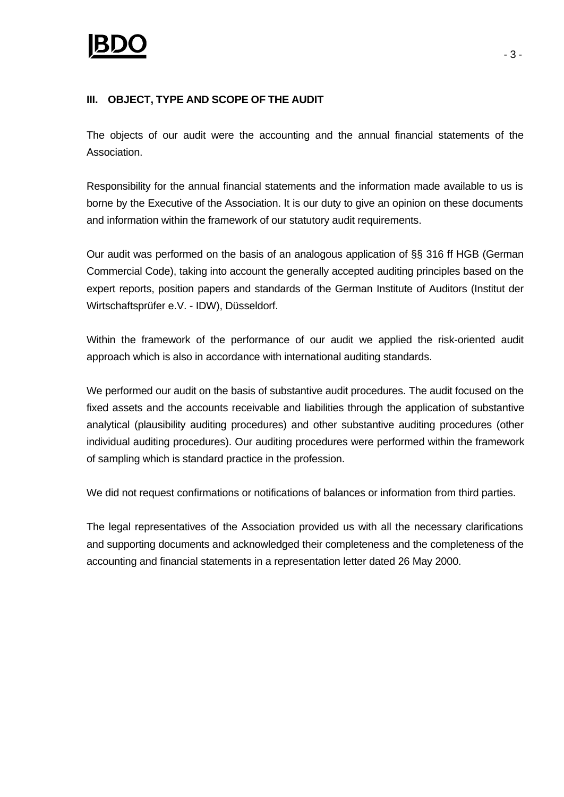## **III. OBJECT, TYPE AND SCOPE OF THE AUDIT**

The objects of our audit were the accounting and the annual financial statements of the Association.

Responsibility for the annual financial statements and the information made available to us is borne by the Executive of the Association. It is our duty to give an opinion on these documents and information within the framework of our statutory audit requirements.

Our audit was performed on the basis of an analogous application of §§ 316 ff HGB (German Commercial Code), taking into account the generally accepted auditing principles based on the expert reports, position papers and standards of the German Institute of Auditors (Institut der Wirtschaftsprüfer e.V. - IDW), Düsseldorf.

Within the framework of the performance of our audit we applied the risk-oriented audit approach which is also in accordance with international auditing standards.

We performed our audit on the basis of substantive audit procedures. The audit focused on the fixed assets and the accounts receivable and liabilities through the application of substantive analytical (plausibility auditing procedures) and other substantive auditing procedures (other individual auditing procedures). Our auditing procedures were performed within the framework of sampling which is standard practice in the profession.

We did not request confirmations or notifications of balances or information from third parties.

The legal representatives of the Association provided us with all the necessary clarifications and supporting documents and acknowledged their completeness and the completeness of the accounting and financial statements in a representation letter dated 26 May 2000.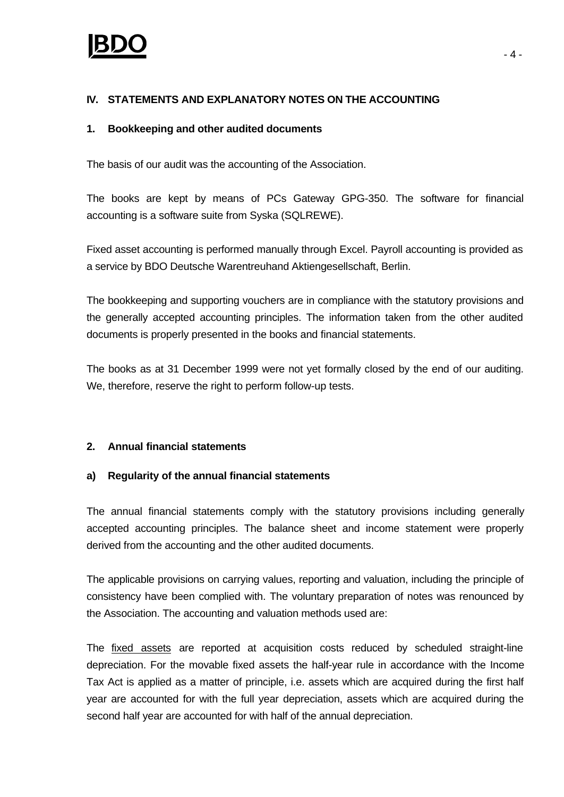## **IV. STATEMENTS AND EXPLANATORY NOTES ON THE ACCOUNTING**

## **1. Bookkeeping and other audited documents**

The basis of our audit was the accounting of the Association.

The books are kept by means of PCs Gateway GPG-350. The software for financial accounting is a software suite from Syska (SQLREWE).

Fixed asset accounting is performed manually through Excel. Payroll accounting is provided as a service by BDO Deutsche Warentreuhand Aktiengesellschaft, Berlin.

The bookkeeping and supporting vouchers are in compliance with the statutory provisions and the generally accepted accounting principles. The information taken from the other audited documents is properly presented in the books and financial statements.

The books as at 31 December 1999 were not yet formally closed by the end of our auditing. We, therefore, reserve the right to perform follow-up tests.

## **2. Annual financial statements**

## **a) Regularity of the annual financial statements**

The annual financial statements comply with the statutory provisions including generally accepted accounting principles. The balance sheet and income statement were properly derived from the accounting and the other audited documents.

The applicable provisions on carrying values, reporting and valuation, including the principle of consistency have been complied with. The voluntary preparation of notes was renounced by the Association. The accounting and valuation methods used are:

The fixed assets are reported at acquisition costs reduced by scheduled straight-line depreciation. For the movable fixed assets the half-year rule in accordance with the Income Tax Act is applied as a matter of principle, i.e. assets which are acquired during the first half year are accounted for with the full year depreciation, assets which are acquired during the second half year are accounted for with half of the annual depreciation.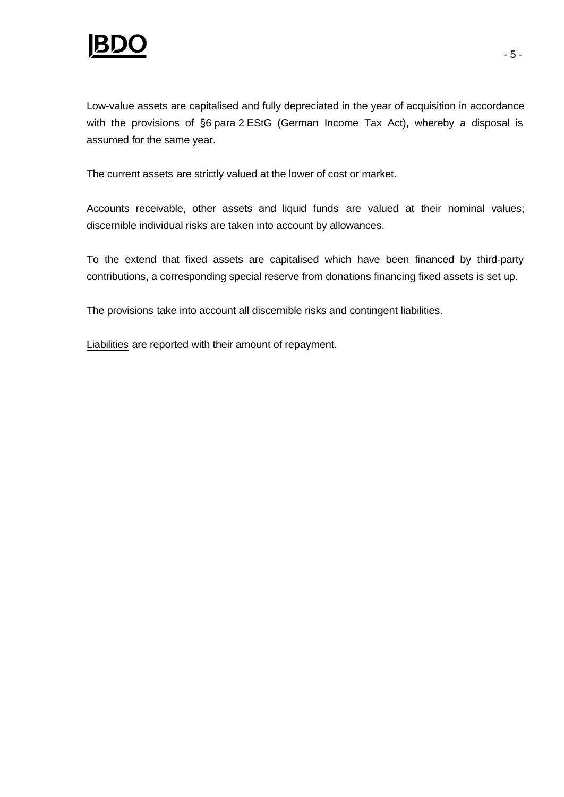

The current assets are strictly valued at the lower of cost or market.

Accounts receivable, other assets and liquid funds are valued at their nominal values; discernible individual risks are taken into account by allowances.

To the extend that fixed assets are capitalised which have been financed by third-party contributions, a corresponding special reserve from donations financing fixed assets is set up.

The provisions take into account all discernible risks and contingent liabilities.

Liabilities are reported with their amount of repayment.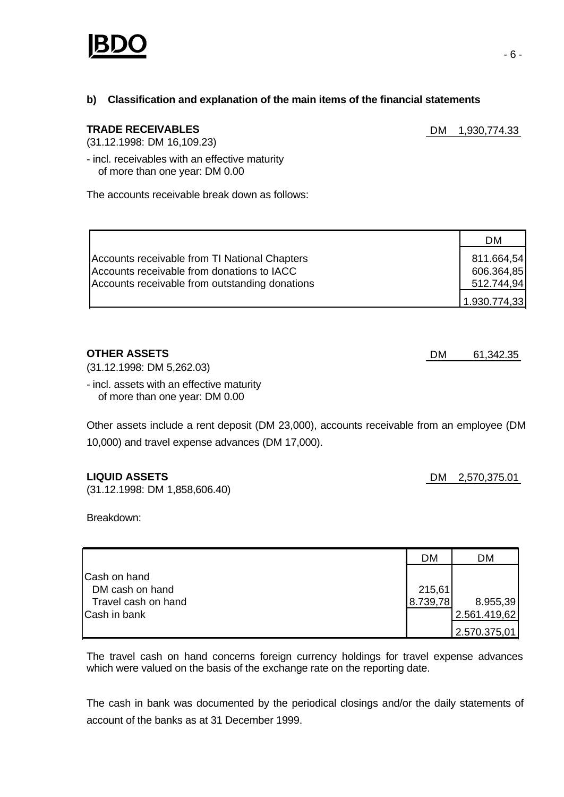

## **b) Classification and explanation of the main items of the financial statements**

### **TRADE RECEIVABLES** DM 1,930,774.33

(31.12.1998: DM 16,109.23)

- incl. receivables with an effective maturity of more than one year: DM 0.00

The accounts receivable break down as follows:

|                                                                                                                                               | DM                                                     |
|-----------------------------------------------------------------------------------------------------------------------------------------------|--------------------------------------------------------|
| Accounts receivable from TI National Chapters<br>Accounts receivable from donations to IACC<br>Accounts receivable from outstanding donations | 811.664,54<br>606.364,85<br>512.744,94<br>1.930.774,33 |

(31.12.1998: DM 5,262.03)

- incl. assets with an effective maturity of more than one year: DM 0.00

Other assets include a rent deposit (DM 23,000), accounts receivable from an employee (DM 10,000) and travel expense advances (DM 17,000).

### **LIQUID ASSETS** DM 2,570,375.01

(31.12.1998: DM 1,858,606.40)

Breakdown:

|                                 | <b>DM</b> | <b>DM</b>    |
|---------------------------------|-----------|--------------|
| Cash on hand<br>DM cash on hand | 215,61    |              |
| Travel cash on hand             | 8.739,78  | 8.955,39     |
| Cash in bank                    |           | 2.561.419,62 |
|                                 |           | 2.570.375,01 |

The travel cash on hand concerns foreign currency holdings for travel expense advances which were valued on the basis of the exchange rate on the reporting date.

The cash in bank was documented by the periodical closings and/or the daily statements of account of the banks as at 31 December 1999.

**OTHER ASSETS** DM 61,342.35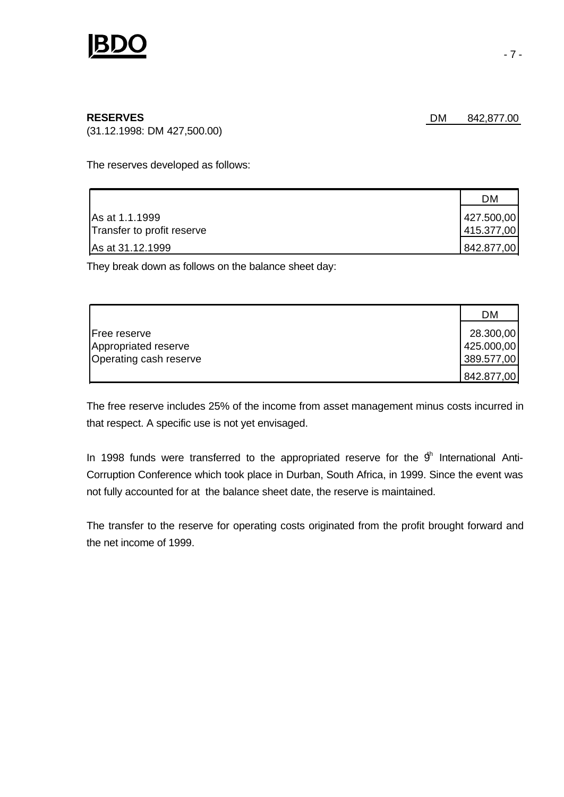

(31.12.1998: DM 427,500.00)

The reserves developed as follows:

|                            | DM         |
|----------------------------|------------|
| As at 1.1.1999             | 427.500,00 |
| Transfer to profit reserve | 415.377,00 |
| As at 31.12.1999           | 842.877,00 |

They break down as follows on the balance sheet day:

|                        | DM         |
|------------------------|------------|
| <b>Free reserve</b>    | 28.300,00  |
| Appropriated reserve   | 425.000,00 |
| Operating cash reserve | 389.577,00 |
|                        | 842.877,00 |

The free reserve includes 25% of the income from asset management minus costs incurred in that respect. A specific use is not yet envisaged.

In 1998 funds were transferred to the appropriated reserve for the  $9<sup>h</sup>$  International Anti-Corruption Conference which took place in Durban, South Africa, in 1999. Since the event was not fully accounted for at the balance sheet date, the reserve is maintained.

The transfer to the reserve for operating costs originated from the profit brought forward and the net income of 1999.

**RESERVES** DM 842,877.00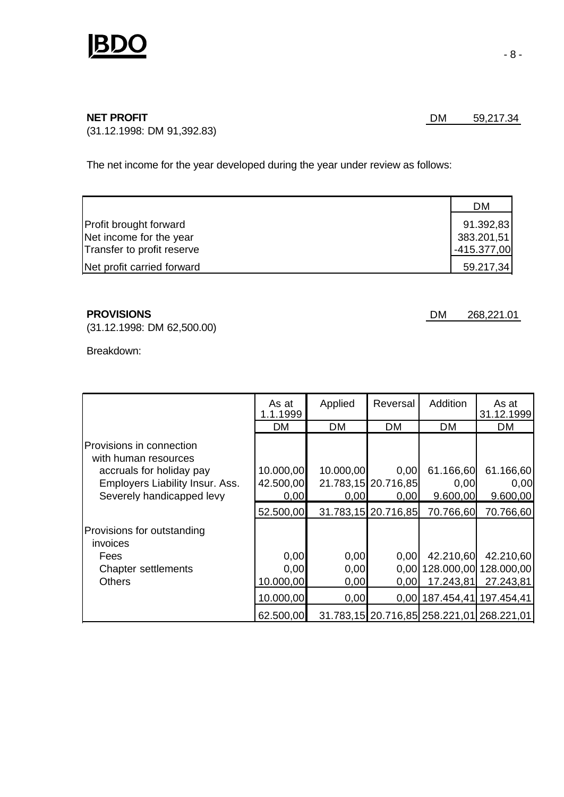

(31.12.1998: DM 91,392.83)

The net income for the year developed during the year under review as follows:

|                            | <b>DM</b>     |
|----------------------------|---------------|
| Profit brought forward     | 91.392,83     |
| Net income for the year    | 383.201,51    |
| Transfer to profit reserve | $-415.377,00$ |
| Net profit carried forward | 59.217,34     |

(31.12.1998: DM 62,500.00)

Breakdown:

|                                                  | As at<br>1.1.1999 | Applied   | Reversal            | Addition                                  | As at<br>31.12.1999   |
|--------------------------------------------------|-------------------|-----------|---------------------|-------------------------------------------|-----------------------|
|                                                  | <b>DM</b>         | DM        | <b>DM</b>           | <b>DM</b>                                 | DM                    |
| Provisions in connection<br>with human resources |                   |           |                     |                                           |                       |
| accruals for holiday pay                         | 10.000,00         | 10.000,00 | 0,00                | 61.166,60                                 | 61.166,60             |
| Employers Liability Insur. Ass.                  | 42.500,00         |           | 21.783,15 20.716,85 | 0,00                                      | 0,00                  |
| Severely handicapped levy                        | 0,00              | 0,00      | 0,00                | 9.600,00                                  | 9.600,00              |
|                                                  | 52.500,00         |           | 31.783,15 20.716,85 | 70.766,60                                 | 70.766,60             |
| Provisions for outstanding<br>invoices           |                   |           |                     |                                           |                       |
| Fees                                             | 0,00              | 0,00      | 0,00                | 42.210,60                                 | 42.210,60             |
| <b>Chapter settlements</b>                       | 0,00              | 0,00      | 0.001               |                                           | 128.000,00 128.000,00 |
| <b>Others</b>                                    | 10.000,00         | 0,00      | 0,00                | 17.243,81                                 | 27.243,81             |
|                                                  | 10.000,00         | 0,00      |                     | 0.00 187.454,41                           | 197.454,41            |
|                                                  | 62.500,00         |           |                     | 31.783,15 20.716,85 258.221,01 268.221,01 |                       |

**PROVISIONS** DM 268,221.01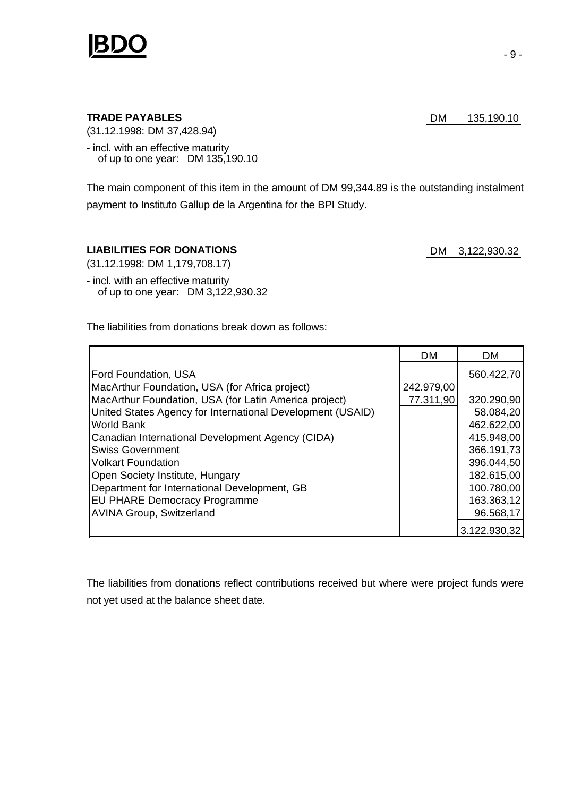

### **TRADE PAYABLES** DM 135,190.10

(31.12.1998: DM 37,428.94)

- incl. with an effective maturity of up to one year: DM 135,190.10

The main component of this item in the amount of DM 99,344.89 is the outstanding instalment payment to Instituto Gallup de la Argentina for the BPI Study.

### LIABILITIES FOR DONATIONS **DM** 3,122,930.32

(31.12.1998: DM 1,179,708.17)

- incl. with an effective maturity of up to one year: DM 3,122,930.32

The liabilities from donations break down as follows:

|                                                            | <b>DM</b>  | <b>DM</b>    |
|------------------------------------------------------------|------------|--------------|
| <b>Ford Foundation, USA</b>                                |            | 560.422,70   |
| MacArthur Foundation, USA (for Africa project)             | 242.979,00 |              |
| MacArthur Foundation, USA (for Latin America project)      | 77.311,90  | 320.290,90   |
| United States Agency for International Development (USAID) |            | 58.084,20    |
| World Bank                                                 |            | 462.622,00   |
| Canadian International Development Agency (CIDA)           |            | 415.948,00   |
| <b>Swiss Government</b>                                    |            | 366.191,73   |
| <b>Volkart Foundation</b>                                  |            | 396.044,50   |
| Open Society Institute, Hungary                            |            | 182.615,00   |
| Department for International Development, GB               |            | 100.780,00   |
| <b>EU PHARE Democracy Programme</b>                        |            | 163.363,12   |
| <b>AVINA Group, Switzerland</b>                            |            | 96.568,17    |
|                                                            |            | 3.122.930,32 |

The liabilities from donations reflect contributions received but where were project funds were not yet used at the balance sheet date.

- 9 -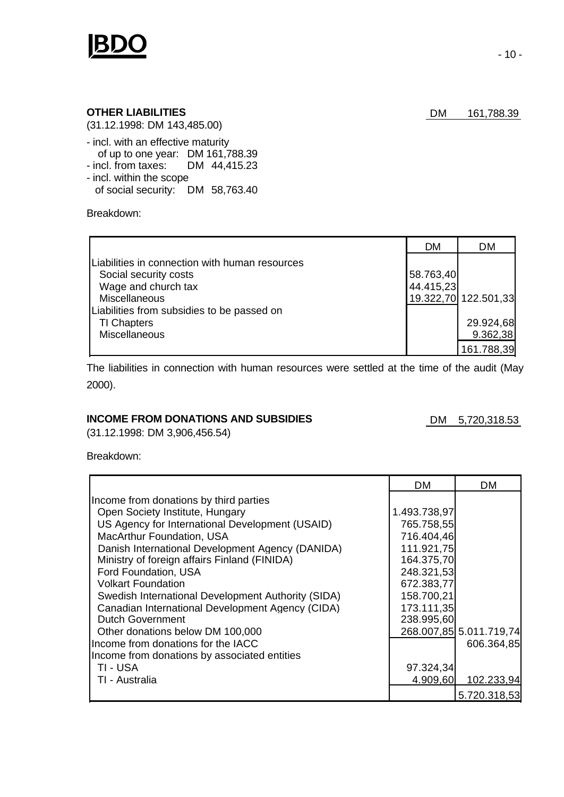

(31.12.1998: DM 143,485.00)

- incl. with an effective maturity of up to one year: DM 161,788.39
- incl. from taxes: DM 44,415.23 - incl. within the scope
- of social security: DM 58,763.40

Breakdown:

|                                                                                                                                                                      | <b>DM</b>              | DM                                  |
|----------------------------------------------------------------------------------------------------------------------------------------------------------------------|------------------------|-------------------------------------|
| Liabilities in connection with human resources<br>Social security costs<br>Wage and church tax<br><b>Miscellaneous</b><br>Liabilities from subsidies to be passed on | 58.763,40<br>44.415,23 | 19.322,70 122.501,33                |
| <b>TI Chapters</b><br>Miscellaneous                                                                                                                                  |                        | 29.924,68<br>9.362,38<br>161.788,39 |

The liabilities in connection with human resources were settled at the time of the audit (May 2000).

### **INCOME FROM DONATIONS AND SUBSIDIES** DM 5,720,318.53

(31.12.1998: DM 3,906,456.54)

Breakdown:

|                                                    | <b>DM</b>    | DM                      |
|----------------------------------------------------|--------------|-------------------------|
| Income from donations by third parties             |              |                         |
| Open Society Institute, Hungary                    | 1.493.738,97 |                         |
| US Agency for International Development (USAID)    | 765.758,55   |                         |
| <b>MacArthur Foundation, USA</b>                   | 716.404,46   |                         |
| Danish International Development Agency (DANIDA)   | 111.921,75   |                         |
| Ministry of foreign affairs Finland (FINIDA)       | 164.375,70   |                         |
| Ford Foundation, USA                               | 248.321,53   |                         |
| <b>Volkart Foundation</b>                          | 672.383,77   |                         |
| Swedish International Development Authority (SIDA) | 158.700,21   |                         |
| Canadian International Development Agency (CIDA)   | 173.111,35   |                         |
| <b>Dutch Government</b>                            | 238.995,60   |                         |
| Other donations below DM 100,000                   |              | 268.007,85 5.011.719,74 |
| Income from donations for the IACC                 |              | 606.364,85              |
| Income from donations by associated entities       |              |                         |
| TI - USA                                           | 97.324,34    |                         |
| TI - Australia                                     | 4.909,60     | 102.233,94              |
|                                                    |              | 5.720.318,53            |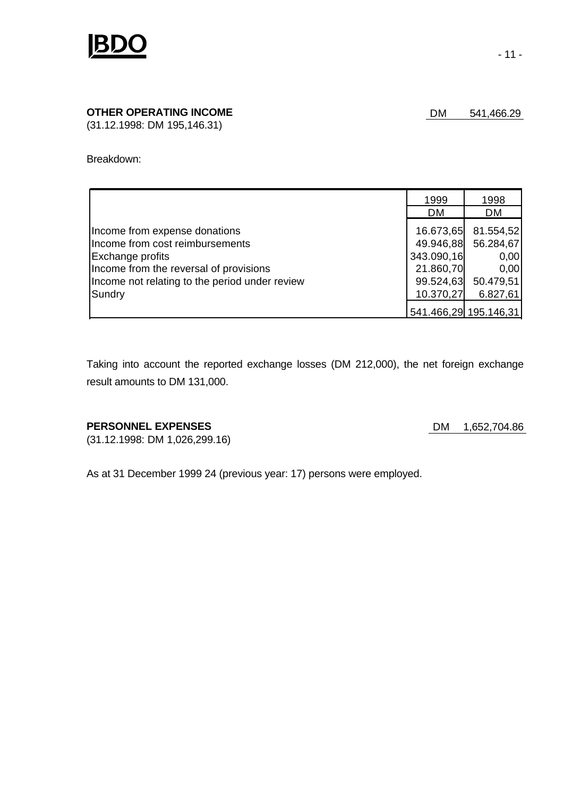

## **OTHER OPERATING INCOME DM** 541,466.29

(31.12.1998: DM 195,146.31)

#### Breakdown:

|                                                | 1999<br><b>DM</b> | 1998<br><b>DM</b>     |
|------------------------------------------------|-------------------|-----------------------|
|                                                |                   |                       |
| Income from expense donations                  | 16.673,65         | 81.554,52             |
| Income from cost reimbursements                | 49.946,88         | 56.284,67             |
| Exchange profits                               | 343.090,16        | 0,00                  |
| Income from the reversal of provisions         | 21.860,70         | 0,00                  |
| Income not relating to the period under review | 99.524,63         | 50.479,51             |
| Sundry                                         | 10.370,27         | 6.827,61              |
|                                                |                   | 541.466,29 195.146,31 |

Taking into account the reported exchange losses (DM 212,000), the net foreign exchange result amounts to DM 131,000.

### **PERSONNEL EXPENSES** DM 1,652,704.86

(31.12.1998: DM 1,026,299.16)

As at 31 December 1999 24 (previous year: 17) persons were employed.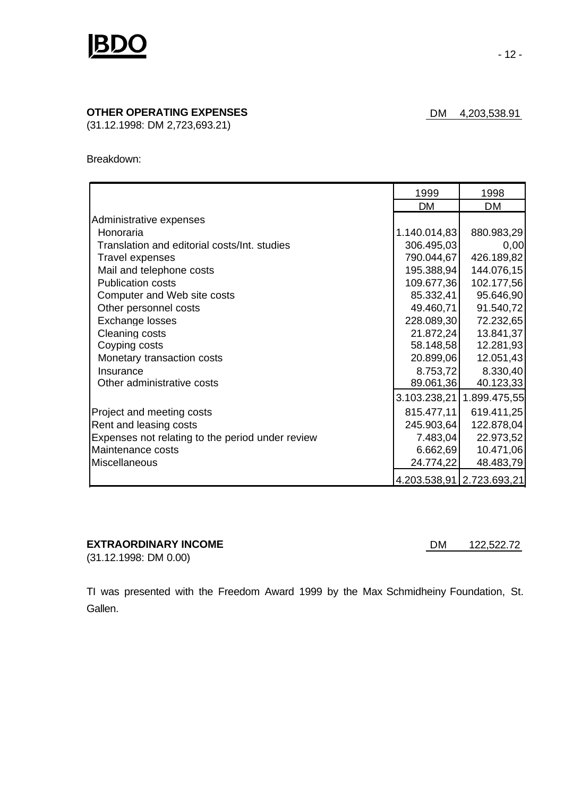

## **OTHER OPERATING EXPENSES** DM 4,203,538.91

(31.12.1998: DM 2,723,693.21)

Breakdown:

|                                                  | 1999         | 1998                        |
|--------------------------------------------------|--------------|-----------------------------|
|                                                  | DM           | <b>DM</b>                   |
| Administrative expenses                          |              |                             |
| Honoraria                                        | 1.140.014,83 | 880.983,29                  |
| Translation and editorial costs/Int. studies     | 306.495,03   | 0,00                        |
| <b>Travel expenses</b>                           | 790.044,67   | 426.189,82                  |
| Mail and telephone costs                         | 195.388,94   | 144.076,15                  |
| <b>Publication costs</b>                         | 109.677,36   | 102.177,56                  |
| Computer and Web site costs                      | 85.332,41    | 95.646,90                   |
| Other personnel costs                            | 49.460,71    | 91.540,72                   |
| Exchange losses                                  | 228.089,30   | 72.232,65                   |
| <b>Cleaning costs</b>                            | 21.872,24    | 13.841,37                   |
| Coyping costs                                    | 58.148,58    | 12.281,93                   |
| Monetary transaction costs                       | 20.899,06    | 12.051,43                   |
| Insurance                                        | 8.753,72     | 8.330,40                    |
| Other administrative costs                       | 89.061,36    | 40.123,33                   |
|                                                  | 3.103.238,21 | 1.899.475,55                |
| Project and meeting costs                        | 815.477,11   | 619.411,25                  |
| Rent and leasing costs                           | 245.903,64   | 122.878,04                  |
| Expenses not relating to the period under review | 7.483,04     | 22.973,52                   |
| Maintenance costs                                | 6.662,69     | 10.471,06                   |
| Miscellaneous                                    | 24.774,22    | 48.483,79                   |
|                                                  |              | 4.203.538,91   2.723.693,21 |

## **EXTRAORDINARY INCOME** DM 122,522.72

(31.12.1998: DM 0.00)

TI was presented with the Freedom Award 1999 by the Max Schmidheiny Foundation, St. Gallen.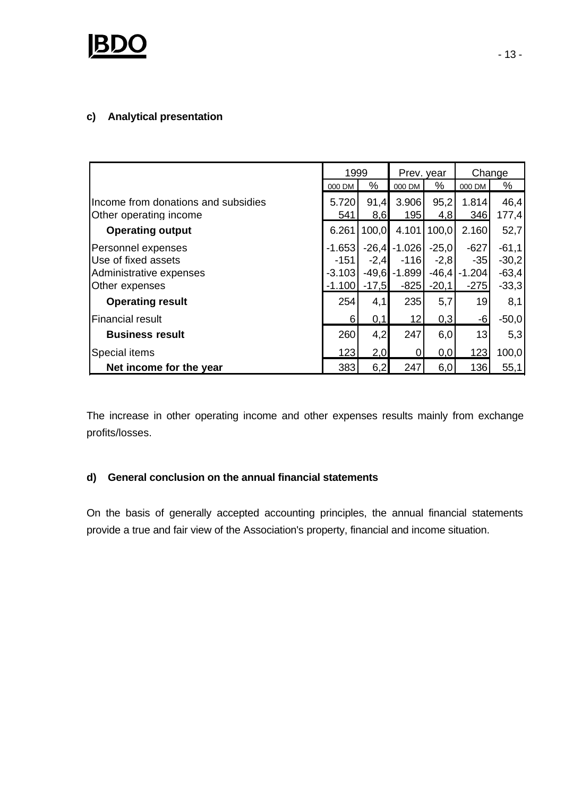

## **c) Analytical presentation**

|                                     | 1999     |         | Prev. year |         | Change   |         |
|-------------------------------------|----------|---------|------------|---------|----------|---------|
|                                     | 000 DM   | ℅       | 000 DM     | ℅       | 000 DM   | %       |
| Income from donations and subsidies | 5.720    | 91,4    | 3.906      | 95,2    | 1.814    | 46,4    |
| Other operating income              | 541      | 8,6     | 195        | 4,8     | 346      | 177,4   |
| <b>Operating output</b>             | 6.261    | 100,0   | 4.101      | 100,0   | 2.160    | 52,7    |
| Personnel expenses                  | $-1.653$ | $-26.4$ | $-1.026$   | $-25,0$ | $-627$   | $-61,1$ |
| Use of fixed assets                 | $-151$   | $-2,4$  | $-116$     | $-2,8$  | $-35$    | $-30,2$ |
| Administrative expenses             | $-3.103$ | $-49,6$ | $-1.899$   | $-46,4$ | $-1.204$ | $-63,4$ |
| Other expenses                      | $-1.100$ | $-17,5$ | $-825$     | $-20,1$ | $-275$   | $-33,3$ |
| <b>Operating result</b>             | 254      | 4,1     | 235        | 5,7     | 19       | 8,1     |
| Financial result                    | 6        | 0,1     | 12         | 0,3     | $-6$     | $-50,0$ |
| <b>Business result</b>              | 260      | 4,2     | 247        | 6,0     | 13       | 5,3     |
| <b>Special items</b>                | 123      | 2,0     | 0          | 0,0     | 123      | 100,0   |
| Net income for the year             | 383      | 6,2     | 247        | 6,0     | 136      | 55,1    |

The increase in other operating income and other expenses results mainly from exchange profits/losses.

## **d) General conclusion on the annual financial statements**

On the basis of generally accepted accounting principles, the annual financial statements provide a true and fair view of the Association's property, financial and income situation.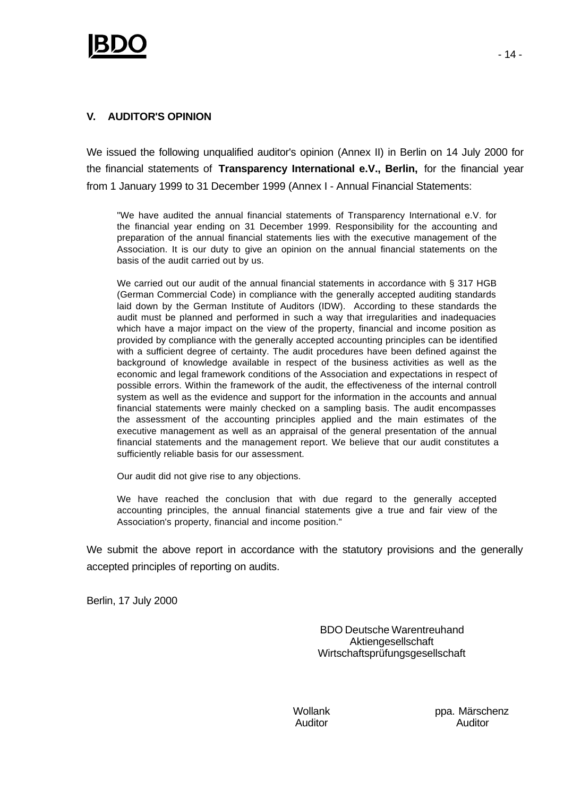## **V. AUDITOR'S OPINION**

We issued the following unqualified auditor's opinion (Annex II) in Berlin on 14 July 2000 for the financial statements of **Transparency International e.V., Berlin,** for the financial year from 1 January 1999 to 31 December 1999 (Annex I - Annual Financial Statements:

"We have audited the annual financial statements of Transparency International e.V. for the financial year ending on 31 December 1999. Responsibility for the accounting and preparation of the annual financial statements lies with the executive management of the Association. It is our duty to give an opinion on the annual financial statements on the basis of the audit carried out by us.

We carried out our audit of the annual financial statements in accordance with § 317 HGB (German Commercial Code) in compliance with the generally accepted auditing standards laid down by the German Institute of Auditors (IDW). According to these standards the audit must be planned and performed in such a way that irregularities and inadequacies which have a major impact on the view of the property, financial and income position as provided by compliance with the generally accepted accounting principles can be identified with a sufficient degree of certainty. The audit procedures have been defined against the background of knowledge available in respect of the business activities as well as the economic and legal framework conditions of the Association and expectations in respect of possible errors. Within the framework of the audit, the effectiveness of the internal controll system as well as the evidence and support for the information in the accounts and annual financial statements were mainly checked on a sampling basis. The audit encompasses the assessment of the accounting principles applied and the main estimates of the executive management as well as an appraisal of the general presentation of the annual financial statements and the management report. We believe that our audit constitutes a sufficiently reliable basis for our assessment.

Our audit did not give rise to any objections.

We have reached the conclusion that with due regard to the generally accepted accounting principles, the annual financial statements give a true and fair view of the Association's property, financial and income position."

We submit the above report in accordance with the statutory provisions and the generally accepted principles of reporting on audits.

Berlin, 17 July 2000

BDO Deutsche Warentreuhand Aktiengesellschaft Wirtschaftsprüfungsgesellschaft

Wollank **ppa. Märschenz** Auditor Auditor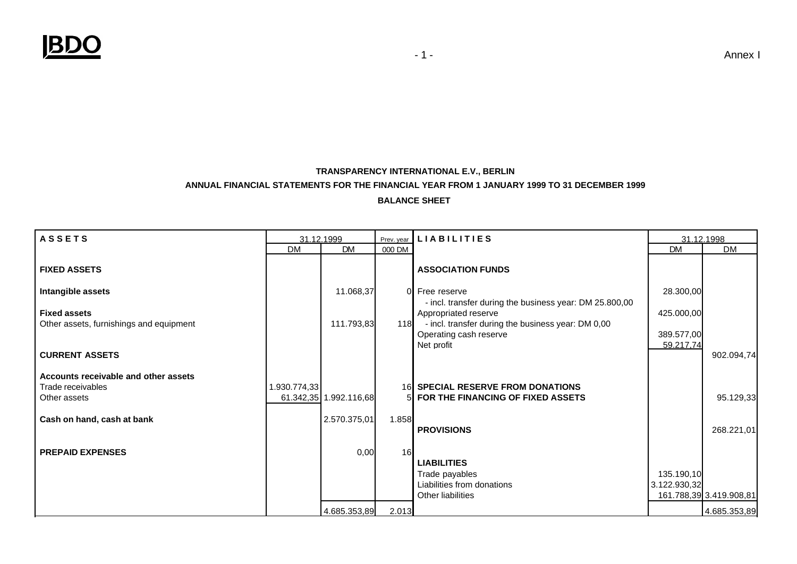

### **TRANSPARENCY INTERNATIONAL E.V., BERLIN ANNUAL FINANCIAL STATEMENTS FOR THE FINANCIAL YEAR FROM 1 JANUARY 1999 TO 31 DECEMBER 1999 BALANCE SHEET**

| <b>ASSETS</b>                                                             | 31.12.1999  |                        |        | Prev. year LIABILITIES                                                                                                                                                        |                                       | 31.12.1998              |
|---------------------------------------------------------------------------|-------------|------------------------|--------|-------------------------------------------------------------------------------------------------------------------------------------------------------------------------------|---------------------------------------|-------------------------|
|                                                                           | <b>DM</b>   | <b>DM</b>              | 000 DM |                                                                                                                                                                               | <b>DM</b>                             | <b>DM</b>               |
| <b>FIXED ASSETS</b>                                                       |             |                        |        | <b>ASSOCIATION FUNDS</b>                                                                                                                                                      |                                       |                         |
| Intangible assets                                                         |             | 11.068,37              |        | 0 Free reserve                                                                                                                                                                | 28.300,00                             |                         |
| <b>Fixed assets</b><br>Other assets, furnishings and equipment            |             | 111.793,83             | 118    | - incl. transfer during the business year: DM 25.800,00<br>Appropriated reserve<br>- incl. transfer during the business year: DM 0,00<br>Operating cash reserve<br>Net profit | 425.000,00<br>389.577,00<br>59.217.74 |                         |
| <b>CURRENT ASSETS</b>                                                     |             |                        |        |                                                                                                                                                                               |                                       | 902.094,74              |
| Accounts receivable and other assets<br>Trade receivables<br>Other assets | .930.774,33 | 61.342,35 1.992.116,68 | 5Ι     | <b>16 SPECIAL RESERVE FROM DONATIONS</b><br>FOR THE FINANCING OF FIXED ASSETS                                                                                                 |                                       | 95.129,33               |
| Cash on hand, cash at bank                                                |             | 2.570.375,01           | 1.858  | <b>PROVISIONS</b>                                                                                                                                                             |                                       | 268.221,01              |
| <b>PREPAID EXPENSES</b>                                                   |             | 0,00                   | 16     | <b>LIABILITIES</b><br>Trade payables<br>Liabilities from donations<br>Other liabilities                                                                                       | 135.190,10<br>3.122.930,32            | 161.788,39 3.419.908,81 |
|                                                                           |             | 4.685.353,89           | 2.013  |                                                                                                                                                                               |                                       | 4.685.353,89            |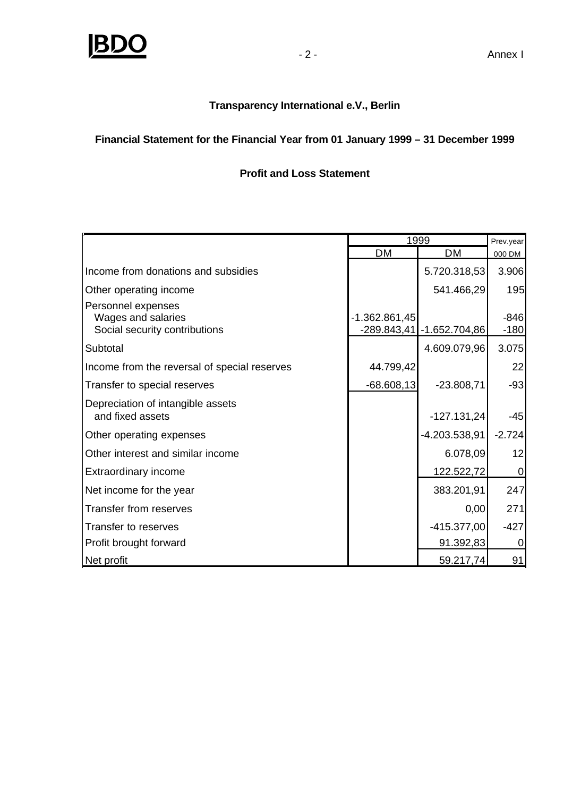

## **Transparency International e.V., Berlin**

# **Financial Statement for the Financial Year from 01 January 1999 – 31 December 1999**

# **Profit and Loss Statement**

|                                                                           | 1999            |                             | Prev.year        |
|---------------------------------------------------------------------------|-----------------|-----------------------------|------------------|
|                                                                           | DM              | DM                          | 000 DM           |
| Income from donations and subsidies                                       |                 | 5.720.318,53                | 3.906            |
| Other operating income                                                    |                 | 541.466,29                  | 195              |
| Personnel expenses<br>Wages and salaries<br>Social security contributions | $-1.362.861,45$ | $-289.843,41$ -1.652.704,86 | $-846$<br>$-180$ |
| Subtotal                                                                  |                 | 4.609.079,96                | 3.075            |
| Income from the reversal of special reserves                              | 44.799,42       |                             | 22               |
| Transfer to special reserves                                              | $-68.608,13$    | $-23.808,71$                | $-93$            |
| Depreciation of intangible assets<br>and fixed assets                     |                 | $-127.131,24$               | $-45$            |
| Other operating expenses                                                  |                 | -4.203.538,91               | $-2.724$         |
| Other interest and similar income                                         |                 | 6.078,09                    | 12               |
| Extraordinary income                                                      |                 | 122.522,72                  | 0                |
| Net income for the year                                                   |                 | 383.201,91                  | 247              |
| Transfer from reserves                                                    |                 | 0,00                        | 271              |
| Transfer to reserves                                                      |                 | $-415.377,00$               | $-427$           |
| Profit brought forward                                                    |                 | 91.392,83                   | 0                |
| Net profit                                                                |                 | 59.217,74                   | 91               |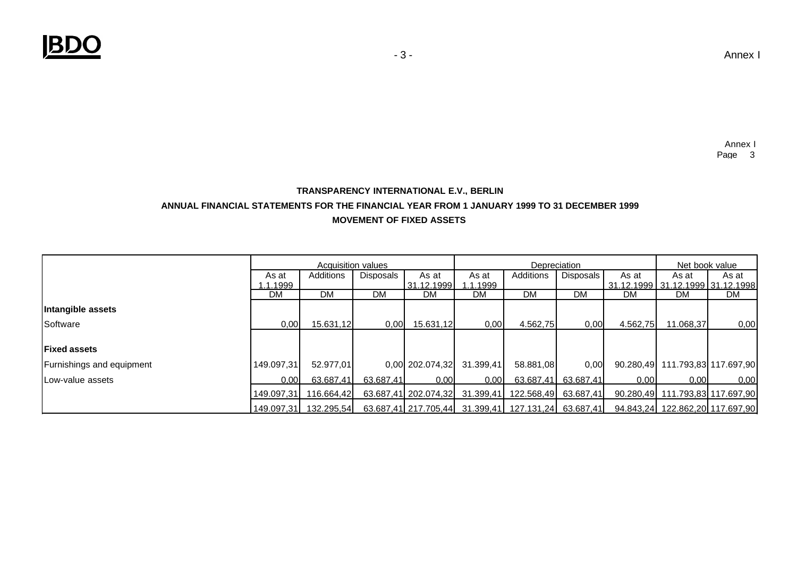## **MOVEMENT OF FIXED ASSETS TRANSPARENCY INTERNATIONAL E.V., BERLIN ANNUAL FINANCIAL STATEMENTS FOR THE FINANCIAL YEAR FROM 1 JANUARY 1999 TO 31 DECEMBER 1999**

|                           | <b>Acquisition values</b> |            |           | Depreciation                   |                   |                                                     | Net book value      |          |                                      |           |
|---------------------------|---------------------------|------------|-----------|--------------------------------|-------------------|-----------------------------------------------------|---------------------|----------|--------------------------------------|-----------|
|                           | As at                     | Additions  | Disposals | As at                          | As at             | Additions                                           | Disposals I         | As at    | As at                                | As at     |
|                           | .1.1999                   |            |           | 31.12.1999                     | 1.1.1999          |                                                     |                     |          | 31.12.1999   31.12.1999   31.12.1998 |           |
|                           | DM                        | <b>DM</b>  | DM.       | DM                             | DM                | DM                                                  | DM                  | DM       | DM                                   | <b>DM</b> |
| Intangible assets         |                           |            |           |                                |                   |                                                     |                     |          |                                      |           |
| Software                  | 0,00                      | 15.631,12  | 0,00      | 15.631,12                      | 0.00              | 4.562,75                                            | 0,00                | 4.562,75 | 11.068,37                            | 0,00      |
|                           |                           |            |           |                                |                   |                                                     |                     |          |                                      |           |
| <b>Fixed assets</b>       |                           |            |           |                                |                   |                                                     |                     |          |                                      |           |
| Furnishings and equipment | 149.097,31                | 52.977.01  |           | $0,00$ 202.074,32              | 31.399,41         | 58.881.08                                           | 0,00                |          | 90.280,49 111.793,83 117.697,90      |           |
| Low-value assets          | 0.00 <sub>l</sub>         | 63.687,41  | 63.687.41 | 0.001                          | 0.00 <sub>l</sub> |                                                     | 63.687.41 63.687.41 | 0.001    | 0.001                                | 0.00      |
|                           | 149.097.31                | 116.664.42 |           | 63.687,41 202.074,32 31.399,41 |                   | 122.568,49 63.687,41                                |                     |          | 90.280,49 111.793,83 117.697,90      |           |
|                           | 149.097.31                | 132.295.54 |           |                                |                   | 63.687,41 217.705,44 31.399,41 127.131,24 63.687,41 |                     |          | 94.843,24 122.862,20 117.697,90      |           |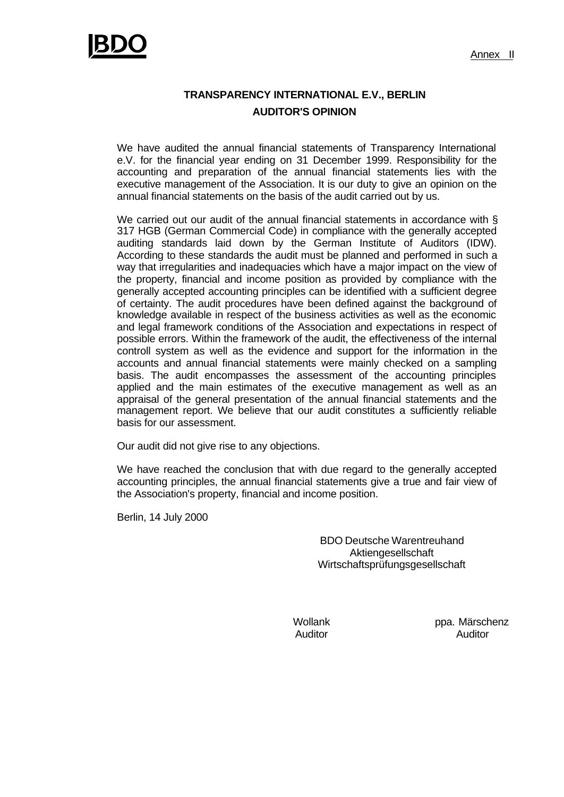

# **TRANSPARENCY INTERNATIONAL E.V., BERLIN AUDITOR'S OPINION**

We have audited the annual financial statements of Transparency International e.V. for the financial year ending on 31 December 1999. Responsibility for the accounting and preparation of the annual financial statements lies with the executive management of the Association. It is our duty to give an opinion on the annual financial statements on the basis of the audit carried out by us.

We carried out our audit of the annual financial statements in accordance with § 317 HGB (German Commercial Code) in compliance with the generally accepted auditing standards laid down by the German Institute of Auditors (IDW). According to these standards the audit must be planned and performed in such a way that irregularities and inadequacies which have a major impact on the view of the property, financial and income position as provided by compliance with the generally accepted accounting principles can be identified with a sufficient degree of certainty. The audit procedures have been defined against the background of knowledge available in respect of the business activities as well as the economic and legal framework conditions of the Association and expectations in respect of possible errors. Within the framework of the audit, the effectiveness of the internal controll system as well as the evidence and support for the information in the accounts and annual financial statements were mainly checked on a sampling basis. The audit encompasses the assessment of the accounting principles applied and the main estimates of the executive management as well as an appraisal of the general presentation of the annual financial statements and the management report. We believe that our audit constitutes a sufficiently reliable basis for our assessment.

Our audit did not give rise to any objections.

We have reached the conclusion that with due regard to the generally accepted accounting principles, the annual financial statements give a true and fair view of the Association's property, financial and income position.

Berlin, 14 July 2000

BDO Deutsche Warentreuhand Aktiengesellschaft Wirtschaftsprüfungsgesellschaft

Wollank ppa. Märschenz Auditor Auditor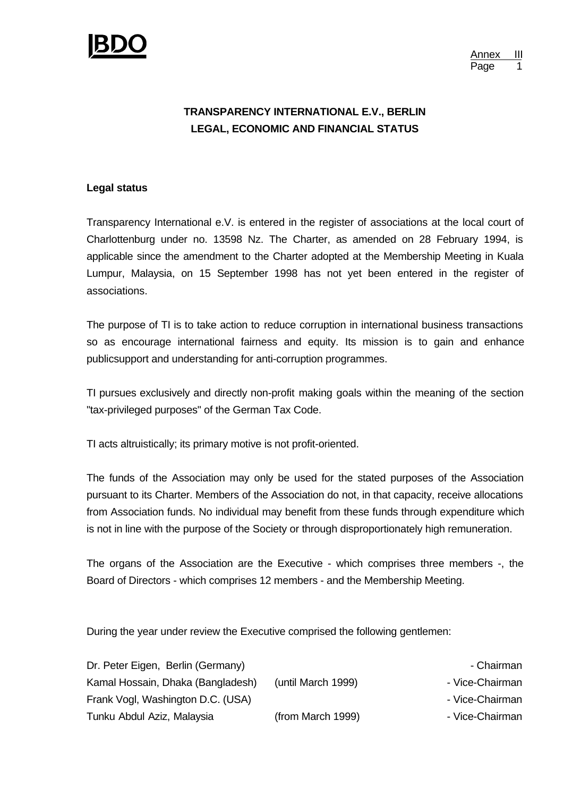

Annex III Page

# **TRANSPARENCY INTERNATIONAL E.V., BERLIN LEGAL, ECONOMIC AND FINANCIAL STATUS**

### **Legal status**

Transparency International e.V. is entered in the register of associations at the local court of Charlottenburg under no. 13598 Nz. The Charter, as amended on 28 February 1994, is applicable since the amendment to the Charter adopted at the Membership Meeting in Kuala Lumpur, Malaysia, on 15 September 1998 has not yet been entered in the register of associations.

The purpose of TI is to take action to reduce corruption in international business transactions so as encourage international fairness and equity. Its mission is to gain and enhance publicsupport and understanding for anti-corruption programmes.

TI pursues exclusively and directly non-profit making goals within the meaning of the section "tax-privileged purposes" of the German Tax Code.

TI acts altruistically; its primary motive is not profit-oriented.

The funds of the Association may only be used for the stated purposes of the Association pursuant to its Charter. Members of the Association do not, in that capacity, receive allocations from Association funds. No individual may benefit from these funds through expenditure which is not in line with the purpose of the Society or through disproportionately high remuneration.

The organs of the Association are the Executive - which comprises three members -, the Board of Directors - which comprises 12 members - and the Membership Meeting.

During the year under review the Executive comprised the following gentlemen:

| Dr. Peter Eigen, Berlin (Germany) |                    | - Chairman      |
|-----------------------------------|--------------------|-----------------|
| Kamal Hossain, Dhaka (Bangladesh) | (until March 1999) | - Vice-Chairman |
| Frank Vogl, Washington D.C. (USA) |                    | - Vice-Chairman |
| Tunku Abdul Aziz, Malaysia        | (from March 1999)  | - Vice-Chairman |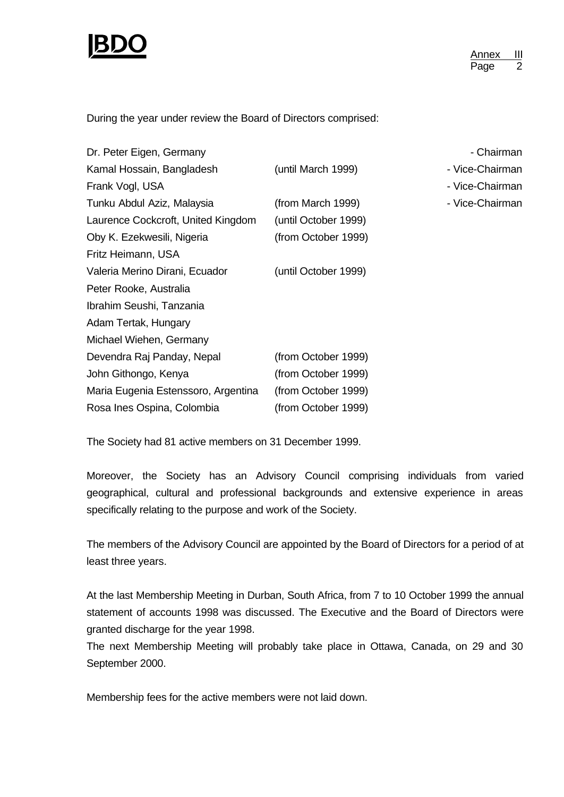

During the year under review the Board of Directors comprised:

| Dr. Peter Eigen, Germany            |                      | - Chairman      |
|-------------------------------------|----------------------|-----------------|
| Kamal Hossain, Bangladesh           | (until March 1999)   | - Vice-Chairman |
| Frank Vogl, USA                     |                      | - Vice-Chairman |
| Tunku Abdul Aziz, Malaysia          | (from March 1999)    | - Vice-Chairman |
| Laurence Cockcroft, United Kingdom  | (until October 1999) |                 |
| Oby K. Ezekwesili, Nigeria          | (from October 1999)  |                 |
| Fritz Heimann, USA                  |                      |                 |
| Valeria Merino Dirani, Ecuador      | (until October 1999) |                 |
| Peter Rooke, Australia              |                      |                 |
| Ibrahim Seushi, Tanzania            |                      |                 |
| Adam Tertak, Hungary                |                      |                 |
| Michael Wiehen, Germany             |                      |                 |
| Devendra Raj Panday, Nepal          | (from October 1999)  |                 |
| John Githongo, Kenya                | (from October 1999)  |                 |
| Maria Eugenia Estenssoro, Argentina | (from October 1999)  |                 |
| Rosa Ines Ospina, Colombia          | (from October 1999)  |                 |

The Society had 81 active members on 31 December 1999.

Moreover, the Society has an Advisory Council comprising individuals from varied geographical, cultural and professional backgrounds and extensive experience in areas specifically relating to the purpose and work of the Society.

The members of the Advisory Council are appointed by the Board of Directors for a period of at least three years.

At the last Membership Meeting in Durban, South Africa, from 7 to 10 October 1999 the annual statement of accounts 1998 was discussed. The Executive and the Board of Directors were granted discharge for the year 1998.

The next Membership Meeting will probably take place in Ottawa, Canada, on 29 and 30 September 2000.

Membership fees for the active members were not laid down.